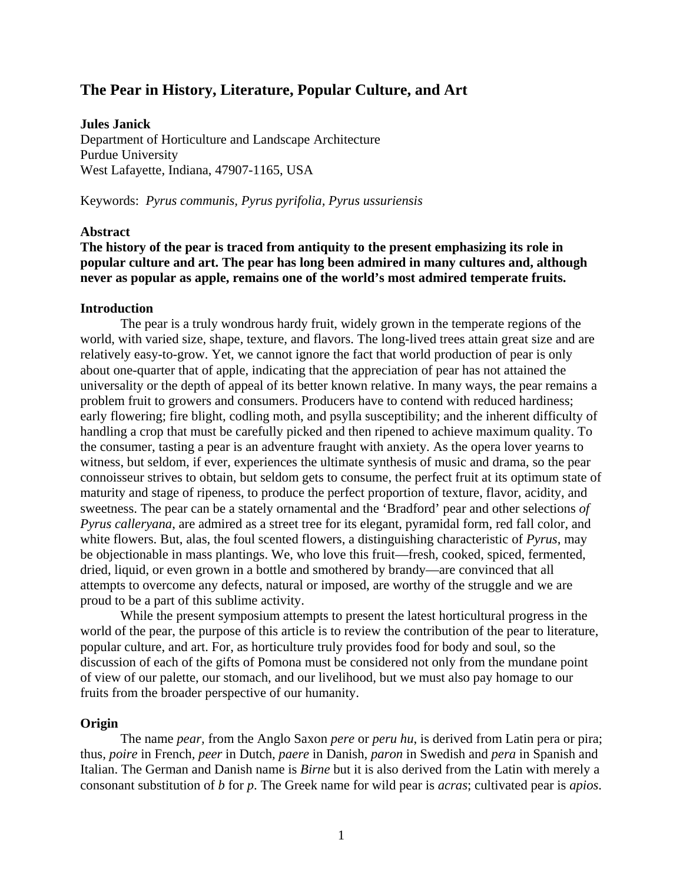# **The Pear in History, Literature, Popular Culture, and Art**

**Jules Janick**  Department of Horticulture and Landscape Architecture Purdue University West Lafayette, Indiana, 47907-1165, USA

Keywords: *Pyrus communis, Pyrus pyrifolia, Pyrus ussuriensis*

#### **Abstract**

# **The history of the pear is traced from antiquity to the present emphasizing its role in popular culture and art. The pear has long been admired in many cultures and, although never as popular as apple, remains one of the world's most admired temperate fruits.**

#### **Introduction**

The pear is a truly wondrous hardy fruit, widely grown in the temperate regions of the world, with varied size, shape, texture, and flavors. The long-lived trees attain great size and are relatively easy-to-grow. Yet, we cannot ignore the fact that world production of pear is only about one-quarter that of apple, indicating that the appreciation of pear has not attained the universality or the depth of appeal of its better known relative. In many ways, the pear remains a problem fruit to growers and consumers. Producers have to contend with reduced hardiness; early flowering; fire blight, codling moth, and psylla susceptibility; and the inherent difficulty of handling a crop that must be carefully picked and then ripened to achieve maximum quality. To the consumer, tasting a pear is an adventure fraught with anxiety. As the opera lover yearns to witness, but seldom, if ever, experiences the ultimate synthesis of music and drama, so the pear connoisseur strives to obtain, but seldom gets to consume, the perfect fruit at its optimum state of maturity and stage of ripeness, to produce the perfect proportion of texture, flavor, acidity, and sweetness. The pear can be a stately ornamental and the 'Bradford' pear and other selections *of Pyrus calleryana*, are admired as a street tree for its elegant, pyramidal form, red fall color, and white flowers. But, alas, the foul scented flowers, a distinguishing characteristic of *Pyrus*, may be objectionable in mass plantings. We, who love this fruit—fresh, cooked, spiced, fermented, dried, liquid, or even grown in a bottle and smothered by brandy—are convinced that all attempts to overcome any defects, natural or imposed, are worthy of the struggle and we are proud to be a part of this sublime activity.

While the present symposium attempts to present the latest horticultural progress in the world of the pear, the purpose of this article is to review the contribution of the pear to literature, popular culture, and art. For, as horticulture truly provides food for body and soul, so the discussion of each of the gifts of Pomona must be considered not only from the mundane point of view of our palette, our stomach, and our livelihood, but we must also pay homage to our fruits from the broader perspective of our humanity.

#### **Origin**

The name *pear,* from the Anglo Saxon *pere* or *peru hu*, is derived from Latin pera or pira; thus*, poire* in French*, peer* in Dutch*, paere* in Danish*, paron* in Swedish and *pera* in Spanish and Italian. The German and Danish name is *Birne* but it is also derived from the Latin with merely a consonant substitution of *b* for *p*. The Greek name for wild pear is *acras*; cultivated pear is *apios*.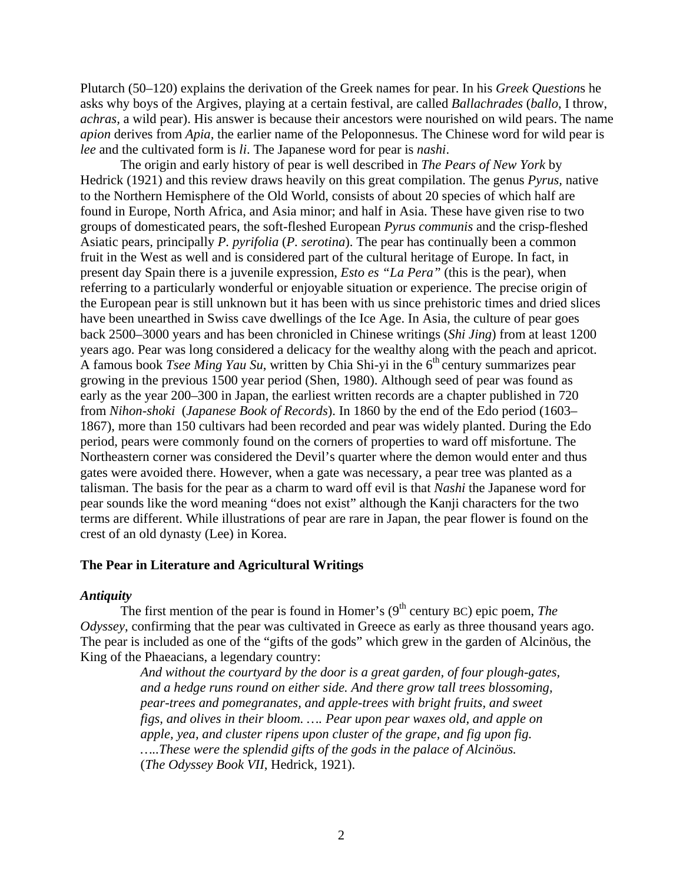Plutarch (50–120) explains the derivation of the Greek names for pear. In his *Greek Question*s he asks why boys of the Argives, playing at a certain festival, are called *Ballachrades* (*ballo*, I throw, *achras,* a wild pear). His answer is because their ancestors were nourished on wild pears. The name *apion* derives from *Apia,* the earlier name of the Peloponnesus. The Chinese word for wild pear is *lee* and the cultivated form is *li*. The Japanese word for pear is *nashi*.

 The origin and early history of pear is well described in *The Pears of New York* by Hedrick (1921) and this review draws heavily on this great compilation. The genus *Pyrus,* native to the Northern Hemisphere of the Old World, consists of about 20 species of which half are found in Europe, North Africa, and Asia minor; and half in Asia. These have given rise to two groups of domesticated pears, the soft-fleshed European *Pyrus communis* and the crisp-fleshed Asiatic pears*,* principally *P. pyrifolia* (*P. serotina*). The pear has continually been a common fruit in the West as well and is considered part of the cultural heritage of Europe. In fact, in present day Spain there is a juvenile expression, *Esto es "La Pera"* (this is the pear), when referring to a particularly wonderful or enjoyable situation or experience. The precise origin of the European pear is still unknown but it has been with us since prehistoric times and dried slices have been unearthed in Swiss cave dwellings of the Ice Age. In Asia, the culture of pear goes back 2500–3000 years and has been chronicled in Chinese writings (*Shi Jing*) from at least 1200 years ago. Pear was long considered a delicacy for the wealthy along with the peach and apricot. A famous book *Tsee Ming Yau Su*, written by Chia Shi-yi in the 6<sup>th</sup> century summarizes pear growing in the previous 1500 year period (Shen, 1980). Although seed of pear was found as early as the year 200–300 in Japan, the earliest written records are a chapter published in 720 from *Nihon-shoki* (*Japanese Book of Records*). In 1860 by the end of the Edo period (1603– 1867), more than 150 cultivars had been recorded and pear was widely planted. During the Edo period, pears were commonly found on the corners of properties to ward off misfortune. The Northeastern corner was considered the Devil's quarter where the demon would enter and thus gates were avoided there. However, when a gate was necessary, a pear tree was planted as a talisman. The basis for the pear as a charm to ward off evil is that *Nashi* the Japanese word for pear sounds like the word meaning "does not exist" although the Kanji characters for the two terms are different. While illustrations of pear are rare in Japan, the pear flower is found on the crest of an old dynasty (Lee) in Korea.

# **The Pear in Literature and Agricultural Writings**

# *Antiquity*

The first mention of the pear is found in Homer's  $(9<sup>th</sup>$  century BC) epic poem, *The Odyssey*, confirming that the pear was cultivated in Greece as early as three thousand years ago. The pear is included as one of the "gifts of the gods" which grew in the garden of Alcinöus, the King of the Phaeacians, a legendary country:

> *And without the courtyard by the door is a great garden, of four plough-gates, and a hedge runs round on either side. And there grow tall trees blossoming, pear-trees and pomegranates, and apple-trees with bright fruits, and sweet figs, and olives in their bloom. …. Pear upon pear waxes old, and apple on apple, yea, and cluster ripens upon cluster of the grape, and fig upon fig. …..These were the splendid gifts of the gods in the palace of Alcinöus.* (*The Odyssey Book VII*, Hedrick, 1921).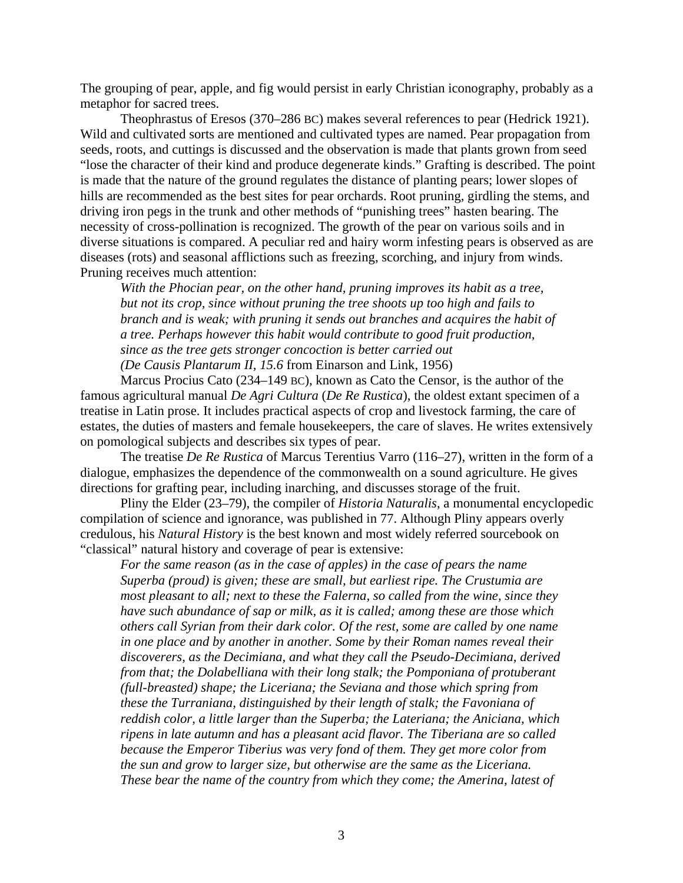The grouping of pear, apple, and fig would persist in early Christian iconography, probably as a metaphor for sacred trees.

Theophrastus of Eresos (370–286 BC) makes several references to pear (Hedrick 1921). Wild and cultivated sorts are mentioned and cultivated types are named. Pear propagation from seeds, roots, and cuttings is discussed and the observation is made that plants grown from seed "lose the character of their kind and produce degenerate kinds." Grafting is described. The point is made that the nature of the ground regulates the distance of planting pears; lower slopes of hills are recommended as the best sites for pear orchards. Root pruning, girdling the stems, and driving iron pegs in the trunk and other methods of "punishing trees" hasten bearing. The necessity of cross-pollination is recognized. The growth of the pear on various soils and in diverse situations is compared. A peculiar red and hairy worm infesting pears is observed as are diseases (rots) and seasonal afflictions such as freezing, scorching, and injury from winds. Pruning receives much attention:

*With the Phocian pear, on the other hand, pruning improves its habit as a tree, but not its crop, since without pruning the tree shoots up too high and fails to branch and is weak; with pruning it sends out branches and acquires the habit of a tree. Perhaps however this habit would contribute to good fruit production, since as the tree gets stronger concoction is better carried out (De Causis Plantarum II, 15.6* from Einarson and Link, 1956)

Marcus Procius Cato (234–149 BC), known as Cato the Censor, is the author of the famous agricultural manual *De Agri Cultura* (*De Re Rustica*), the oldest extant specimen of a treatise in Latin prose. It includes practical aspects of crop and livestock farming, the care of estates, the duties of masters and female housekeepers, the care of slaves. He writes extensively on pomological subjects and describes six types of pear.

The treatise *De Re Rustica* of Marcus Terentius Varro (116–27), written in the form of a dialogue, emphasizes the dependence of the commonwealth on a sound agriculture. He gives directions for grafting pear, including inarching, and discusses storage of the fruit.

Pliny the Elder (23–79), the compiler of *Historia Naturalis*, a monumental encyclopedic compilation of science and ignorance, was published in 77. Although Pliny appears overly credulous, his *Natural History* is the best known and most widely referred sourcebook on "classical" natural history and coverage of pear is extensive:

*For the same reason (as in the case of apples) in the case of pears the name Superba (proud) is given; these are small, but earliest ripe. The Crustumia are most pleasant to all; next to these the Falerna, so called from the wine, since they have such abundance of sap or milk, as it is called; among these are those which others call Syrian from their dark color. Of the rest, some are called by one name in one place and by another in another. Some by their Roman names reveal their discoverers, as the Decimiana, and what they call the Pseudo-Decimiana, derived from that; the Dolabelliana with their long stalk; the Pomponiana of protuberant (full-breasted) shape; the Liceriana; the Seviana and those which spring from these the Turraniana, distinguished by their length of stalk; the Favoniana of reddish color, a little larger than the Superba; the Lateriana; the Aniciana, which ripens in late autumn and has a pleasant acid flavor. The Tiberiana are so called because the Emperor Tiberius was very fond of them. They get more color from the sun and grow to larger size, but otherwise are the same as the Liceriana. These bear the name of the country from which they come; the Amerina, latest of*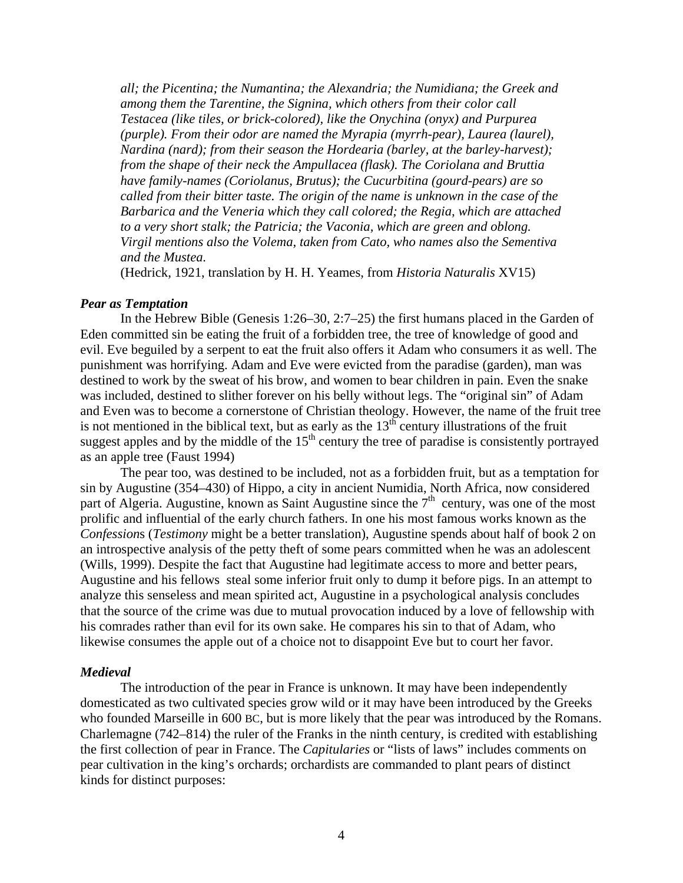*all; the Picentina; the Numantina; the Alexandria; the Numidiana; the Greek and among them the Tarentine, the Signina, which others from their color call Testacea (like tiles, or brick-colored), like the Onychina (onyx) and Purpurea (purple). From their odor are named the Myrapia (myrrh-pear), Laurea (laurel), Nardina (nard); from their season the Hordearia (barley, at the barley-harvest); from the shape of their neck the Ampullacea (flask). The Coriolana and Bruttia have family-names (Coriolanus, Brutus); the Cucurbitina (gourd-pears) are so called from their bitter taste. The origin of the name is unknown in the case of the Barbarica and the Veneria which they call colored; the Regia, which are attached to a very short stalk; the Patricia; the Vaconia, which are green and oblong. Virgil mentions also the Volema, taken from Cato, who names also the Sementiva and the Mustea.* 

(Hedrick, 1921, translation by H. H. Yeames, from *Historia Naturalis* XV15)

#### *Pear as Temptation*

In the Hebrew Bible (Genesis 1:26–30, 2:7–25) the first humans placed in the Garden of Eden committed sin be eating the fruit of a forbidden tree, the tree of knowledge of good and evil. Eve beguiled by a serpent to eat the fruit also offers it Adam who consumers it as well. The punishment was horrifying. Adam and Eve were evicted from the paradise (garden), man was destined to work by the sweat of his brow, and women to bear children in pain. Even the snake was included, destined to slither forever on his belly without legs. The "original sin" of Adam and Even was to become a cornerstone of Christian theology. However, the name of the fruit tree is not mentioned in the biblical text, but as early as the  $13<sup>th</sup>$  century illustrations of the fruit suggest apples and by the middle of the  $15<sup>th</sup>$  century the tree of paradise is consistently portrayed as an apple tree (Faust 1994)

The pear too, was destined to be included, not as a forbidden fruit, but as a temptation for sin by Augustine (354–430) of Hippo, a city in ancient Numidia, North Africa, now considered part of Algeria. Augustine, known as Saint Augustine since the  $7<sup>th</sup>$  century, was one of the most prolific and influential of the early church fathers. In one his most famous works known as the *Confession*s (*Testimony* might be a better translation), Augustine spends about half of book 2 on an introspective analysis of the petty theft of some pears committed when he was an adolescent (Wills, 1999). Despite the fact that Augustine had legitimate access to more and better pears, Augustine and his fellows steal some inferior fruit only to dump it before pigs. In an attempt to analyze this senseless and mean spirited act, Augustine in a psychological analysis concludes that the source of the crime was due to mutual provocation induced by a love of fellowship with his comrades rather than evil for its own sake. He compares his sin to that of Adam, who likewise consumes the apple out of a choice not to disappoint Eve but to court her favor.

#### *Medieval*

The introduction of the pear in France is unknown. It may have been independently domesticated as two cultivated species grow wild or it may have been introduced by the Greeks who founded Marseille in 600 BC, but is more likely that the pear was introduced by the Romans. Charlemagne (742–814) the ruler of the Franks in the ninth century, is credited with establishing the first collection of pear in France. The *Capitularies* or "lists of laws" includes comments on pear cultivation in the king's orchards; orchardists are commanded to plant pears of distinct kinds for distinct purposes: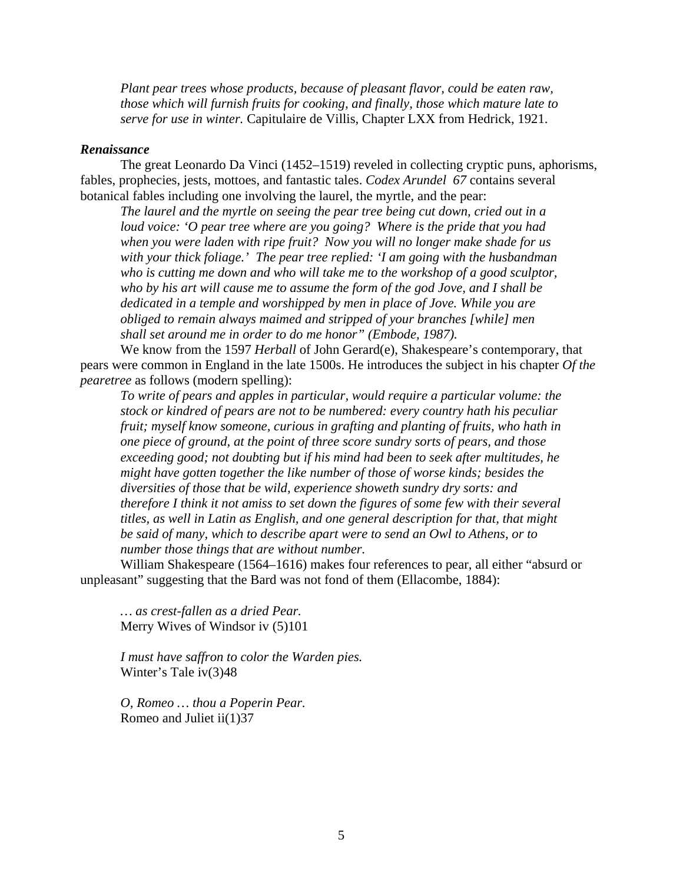*Plant pear trees whose products, because of pleasant flavor, could be eaten raw, those which will furnish fruits for cooking, and finally, those which mature late to serve for use in winter.* Capitulaire de Villis, Chapter LXX from Hedrick, 1921.

#### *Renaissance*

The great Leonardo Da Vinci (1452–1519) reveled in collecting cryptic puns, aphorisms, fables, prophecies, jests, mottoes, and fantastic tales. *Codex Arundel 67* contains several botanical fables including one involving the laurel, the myrtle, and the pear:

*The laurel and the myrtle on seeing the pear tree being cut down, cried out in a loud voice: 'O pear tree where are you going? Where is the pride that you had when you were laden with ripe fruit? Now you will no longer make shade for us with your thick foliage.' The pear tree replied: 'I am going with the husbandman who is cutting me down and who will take me to the workshop of a good sculptor, who by his art will cause me to assume the form of the god Jove, and I shall be dedicated in a temple and worshipped by men in place of Jove. While you are obliged to remain always maimed and stripped of your branches [while] men shall set around me in order to do me honor" (Embode, 1987).*

We know from the 1597 *Herball* of John Gerard(e), Shakespeare's contemporary, that pears were common in England in the late 1500s. He introduces the subject in his chapter *Of the pearetree* as follows (modern spelling):

*To write of pears and apples in particular, would require a particular volume: the stock or kindred of pears are not to be numbered: every country hath his peculiar fruit; myself know someone, curious in grafting and planting of fruits, who hath in one piece of ground, at the point of three score sundry sorts of pears, and those exceeding good; not doubting but if his mind had been to seek after multitudes, he might have gotten together the like number of those of worse kinds; besides the diversities of those that be wild, experience showeth sundry dry sorts: and therefore I think it not amiss to set down the figures of some few with their several titles, as well in Latin as English, and one general description for that, that might be said of many, which to describe apart were to send an Owl to Athens, or to number those things that are without number.* 

 William Shakespeare (1564–1616) makes four references to pear, all either "absurd or unpleasant" suggesting that the Bard was not fond of them (Ellacombe, 1884):

*… as crest-fallen as a dried Pear.*  Merry Wives of Windsor iv (5)101

*I must have saffron to color the Warden pies.*  Winter's Tale iv(3)48

*O, Romeo … thou a Poperin Pear.*  Romeo and Juliet ii(1)37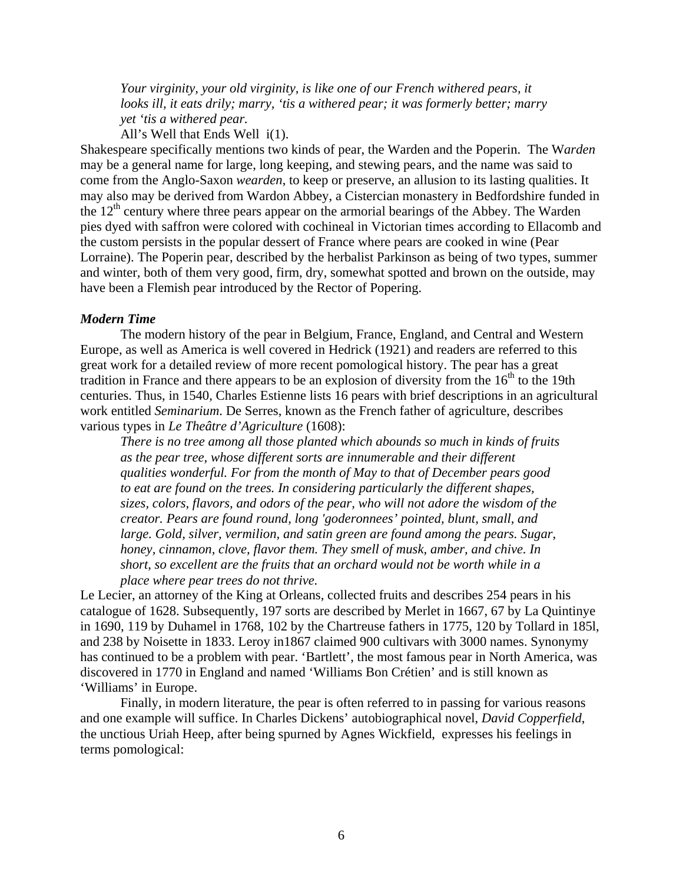*Your virginity, your old virginity, is like one of our French withered pears, it looks ill, it eats drily; marry, 'tis a withered pear; it was formerly better; marry yet 'tis a withered pear.* 

All's Well that Ends Well i(1).

Shakespeare specifically mentions two kinds of pear, the Warden and the Poperin. The W*arden* may be a general name for large, long keeping, and stewing pears, and the name was said to come from the Anglo-Saxon *wearden*, to keep or preserve, an allusion to its lasting qualities. It may also may be derived from Wardon Abbey, a Cistercian monastery in Bedfordshire funded in the  $12<sup>th</sup>$  century where three pears appear on the armorial bearings of the Abbey. The Warden pies dyed with saffron were colored with cochineal in Victorian times according to Ellacomb and the custom persists in the popular dessert of France where pears are cooked in wine (Pear Lorraine). The Poperin pear, described by the herbalist Parkinson as being of two types, summer and winter, both of them very good, firm, dry, somewhat spotted and brown on the outside, may have been a Flemish pear introduced by the Rector of Popering.

# *Modern Time*

The modern history of the pear in Belgium, France, England, and Central and Western Europe, as well as America is well covered in Hedrick (1921) and readers are referred to this great work for a detailed review of more recent pomological history. The pear has a great tradition in France and there appears to be an explosion of diversity from the  $16<sup>th</sup>$  to the 19th centuries. Thus, in 1540, Charles Estienne lists 16 pears with brief descriptions in an agricultural work entitled *Seminarium*. De Serres, known as the French father of agriculture, describes various types in *Le Theâtre d'Agriculture* (1608):

*There is no tree among all those planted which abounds so much in kinds of fruits as the pear tree, whose different sorts are innumerable and their different qualities wonderful. For from the month of May to that of December pears good to eat are found on the trees. In considering particularly the different shapes, sizes, colors, flavors, and odors of the pear, who will not adore the wisdom of the creator. Pears are found round, long 'goderonnees' pointed, blunt, small, and large. Gold, silver, vermilion, and satin green are found among the pears. Sugar, honey, cinnamon, clove, flavor them. They smell of musk, amber, and chive. In short, so excellent are the fruits that an orchard would not be worth while in a place where pear trees do not thrive.* 

Le Lecier, an attorney of the King at Orleans, collected fruits and describes 254 pears in his catalogue of 1628. Subsequently, 197 sorts are described by Merlet in 1667, 67 by La Quintinye in 1690, 119 by Duhamel in 1768, 102 by the Chartreuse fathers in 1775, 120 by Tollard in 185l, and 238 by Noisette in 1833. Leroy in1867 claimed 900 cultivars with 3000 names. Synonymy has continued to be a problem with pear. 'Bartlett', the most famous pear in North America, was discovered in 1770 in England and named 'Williams Bon Crétien' and is still known as 'Williams' in Europe.

Finally, in modern literature, the pear is often referred to in passing for various reasons and one example will suffice. In Charles Dickens' autobiographical novel, *David Copperfield*, the unctious Uriah Heep, after being spurned by Agnes Wickfield, expresses his feelings in terms pomological: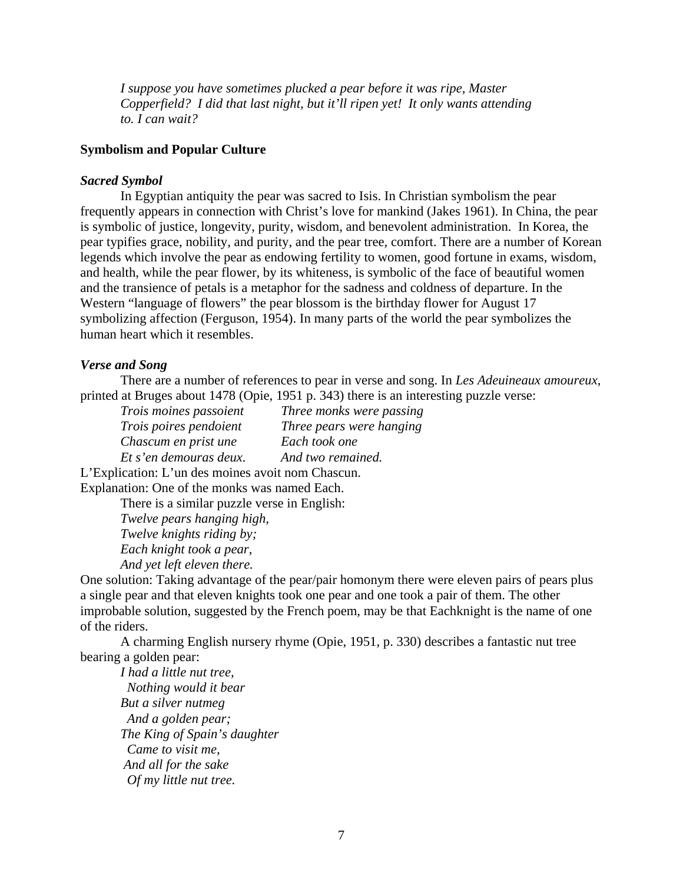*I suppose you have sometimes plucked a pear before it was ripe, Master Copperfield? I did that last night, but it'll ripen yet! It only wants attending to. I can wait?* 

# **Symbolism and Popular Culture**

#### *Sacred Symbol*

In Egyptian antiquity the pear was sacred to Isis. In Christian symbolism the pear frequently appears in connection with Christ's love for mankind (Jakes 1961). In China, the pear is symbolic of justice, longevity, purity, wisdom, and benevolent administration. In Korea, the pear typifies grace, nobility, and purity, and the pear tree, comfort. There are a number of Korean legends which involve the pear as endowing fertility to women, good fortune in exams, wisdom, and health, while the pear flower, by its whiteness, is symbolic of the face of beautiful women and the transience of petals is a metaphor for the sadness and coldness of departure. In the Western "language of flowers" the pear blossom is the birthday flower for August 17 symbolizing affection (Ferguson, 1954). In many parts of the world the pear symbolizes the human heart which it resembles.

#### *Verse and Song*

There are a number of references to pear in verse and song. In *Les Adeuineaux amoureux*, printed at Bruges about 1478 (Opie, 1951 p. 343) there is an interesting puzzle verse:

| Trois moines passoient | Three monks were passing |
|------------------------|--------------------------|
| Trois poires pendoient | Three pears were hanging |
| Chascum en prist une   | Each took one            |
| Et s'en demouras deux. | And two remained.        |
|                        |                          |

L'Explication: L'un des moines avoit nom Chascun. Explanation: One of the monks was named Each.

There is a similar puzzle verse in English:

*Twelve pears hanging high, Twelve knights riding by; Each knight took a pear, And yet left eleven there.* 

One solution: Taking advantage of the pear/pair homonym there were eleven pairs of pears plus a single pear and that eleven knights took one pear and one took a pair of them. The other improbable solution, suggested by the French poem, may be that Eachknight is the name of one of the riders.

A charming English nursery rhyme (Opie, 1951, p. 330) describes a fantastic nut tree bearing a golden pear:

*I had a little nut tree, Nothing would it bear But a silver nutmeg And a golden pear; The King of Spain's daughter Came to visit me, And all for the sake Of my little nut tree.*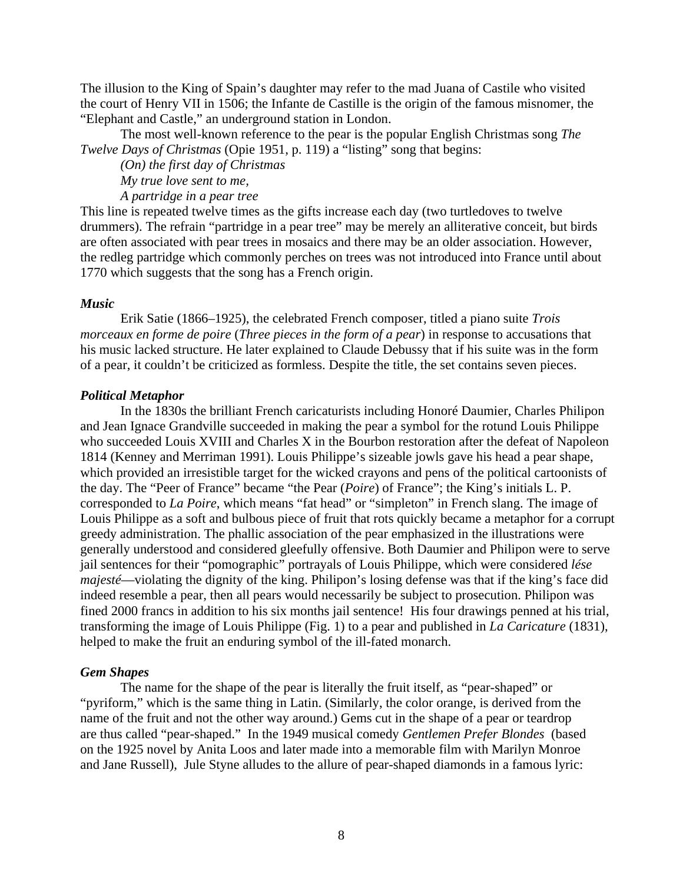The illusion to the King of Spain's daughter may refer to the mad Juana of Castile who visited the court of Henry VII in 1506; the Infante de Castille is the origin of the famous misnomer, the "Elephant and Castle," an underground station in London.

The most well-known reference to the pear is the popular English Christmas song *The Twelve Days of Christmas* (Opie 1951, p. 119) a "listing" song that begins:

*(On) the first day of Christmas My true love sent to me,* 

*A partridge in a pear tree* 

This line is repeated twelve times as the gifts increase each day (two turtledoves to twelve drummers). The refrain "partridge in a pear tree" may be merely an alliterative conceit, but birds are often associated with pear trees in mosaics and there may be an older association. However, the redleg partridge which commonly perches on trees was not introduced into France until about 1770 which suggests that the song has a French origin.

# *Music*

Erik Satie (1866–1925), the celebrated French composer, titled a piano suite *Trois morceaux en forme de poire* (*Three pieces in the form of a pear*) in response to accusations that his music lacked structure. He later explained to Claude Debussy that if his suite was in the form of a pear, it couldn't be criticized as formless. Despite the title, the set contains seven pieces.

# *Political Metaphor*

 In the 1830s the brilliant French caricaturists including Honoré Daumier, Charles Philipon and Jean Ignace Grandville succeeded in making the pear a symbol for the rotund Louis Philippe who succeeded Louis XVIII and Charles X in the Bourbon restoration after the defeat of Napoleon 1814 (Kenney and Merriman 1991). Louis Philippe's sizeable jowls gave his head a pear shape, which provided an irresistible target for the wicked crayons and pens of the political cartoonists of the day. The "Peer of France" became "the Pear (*Poire*) of France"; the King's initials L. P. corresponded to *La Poire*, which means "fat head" or "simpleton" in French slang. The image of Louis Philippe as a soft and bulbous piece of fruit that rots quickly became a metaphor for a corrupt greedy administration. The phallic association of the pear emphasized in the illustrations were generally understood and considered gleefully offensive. Both Daumier and Philipon were to serve jail sentences for their "pomographic" portrayals of Louis Philippe, which were considered *lése majesté*—violating the dignity of the king. Philipon's losing defense was that if the king's face did indeed resemble a pear, then all pears would necessarily be subject to prosecution. Philipon was fined 2000 francs in addition to his six months jail sentence! His four drawings penned at his trial, transforming the image of Louis Philippe (Fig. 1) to a pear and published in *La Caricature* (1831), helped to make the fruit an enduring symbol of the ill-fated monarch.

# *Gem Shapes*

The name for the shape of the pear is literally the fruit itself, as "pear-shaped" or "pyriform," which is the same thing in Latin. (Similarly, the color orange, is derived from the name of the fruit and not the other way around.) Gems cut in the shape of a pear or teardrop are thus called "pear-shaped." In the 1949 musical comedy *Gentlemen Prefer Blondes* (based on the 1925 novel by Anita Loos and later made into a memorable film with Marilyn Monroe and Jane Russell), Jule Styne alludes to the allure of pear-shaped diamonds in a famous lyric: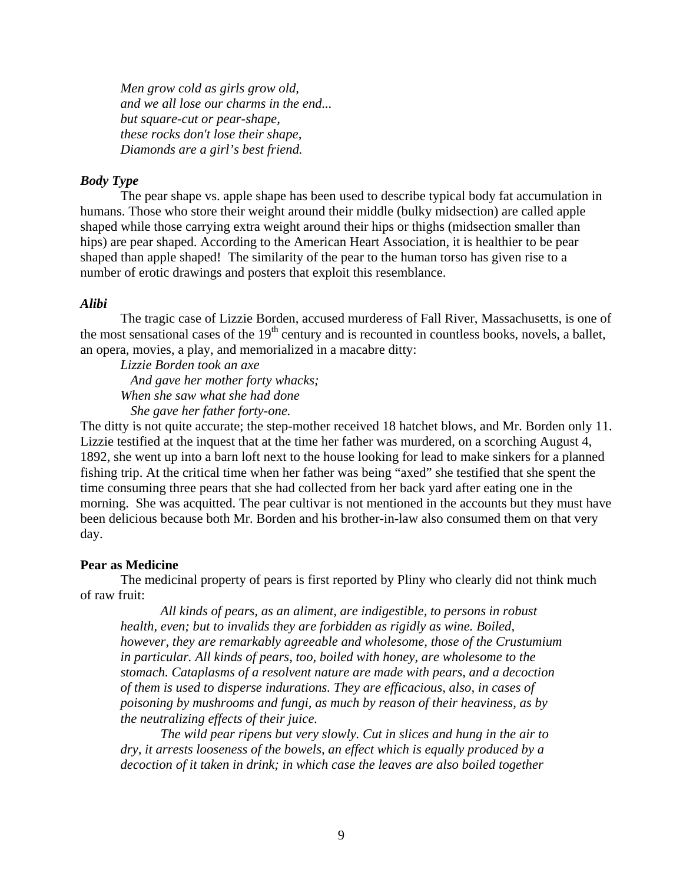*Men grow cold as girls grow old, and we all lose our charms in the end... but square-cut or pear-shape, these rocks don't lose their shape, Diamonds are a girl's best friend.* 

# *Body Type*

The pear shape vs. apple shape has been used to describe typical body fat accumulation in humans. Those who store their weight around their middle (bulky midsection) are called apple shaped while those carrying extra weight around their hips or thighs (midsection smaller than hips) are pear shaped. According to the American Heart Association, it is healthier to be pear shaped than apple shaped! The similarity of the pear to the human torso has given rise to a number of erotic drawings and posters that exploit this resemblance.

#### *Alibi*

The tragic case of Lizzie Borden, accused murderess of Fall River, Massachusetts, is one of the most sensational cases of the  $19<sup>th</sup>$  century and is recounted in countless books, novels, a ballet, an opera, movies, a play, and memorialized in a macabre ditty:

*Lizzie Borden took an axe And gave her mother forty whacks; When she saw what she had done She gave her father forty-one.* 

The ditty is not quite accurate; the step-mother received 18 hatchet blows, and Mr. Borden only 11. Lizzie testified at the inquest that at the time her father was murdered, on a scorching August 4, 1892, she went up into a barn loft next to the house looking for lead to make sinkers for a planned fishing trip. At the critical time when her father was being "axed" she testified that she spent the time consuming three pears that she had collected from her back yard after eating one in the morning. She was acquitted. The pear cultivar is not mentioned in the accounts but they must have been delicious because both Mr. Borden and his brother-in-law also consumed them on that very day.

# **Pear as Medicine**

The medicinal property of pears is first reported by Pliny who clearly did not think much of raw fruit:

*All kinds of pears, as an aliment, are indigestible, to persons in robust health, even; but to invalids they are forbidden as rigidly as wine. Boiled, however, they are remarkably agreeable and wholesome, those of the Crustumium in particular. All kinds of pears, too, boiled with honey, are wholesome to the stomach. Cataplasms of a resolvent nature are made with pears, and a decoction of them is used to disperse indurations. They are efficacious, also, in cases of poisoning by mushrooms and fungi, as much by reason of their heaviness, as by the neutralizing effects of their juice.* 

 *The wild pear ripens but very slowly. Cut in slices and hung in the air to dry, it arrests looseness of the bowels, an effect which is equally produced by a decoction of it taken in drink; in which case the leaves are also boiled together*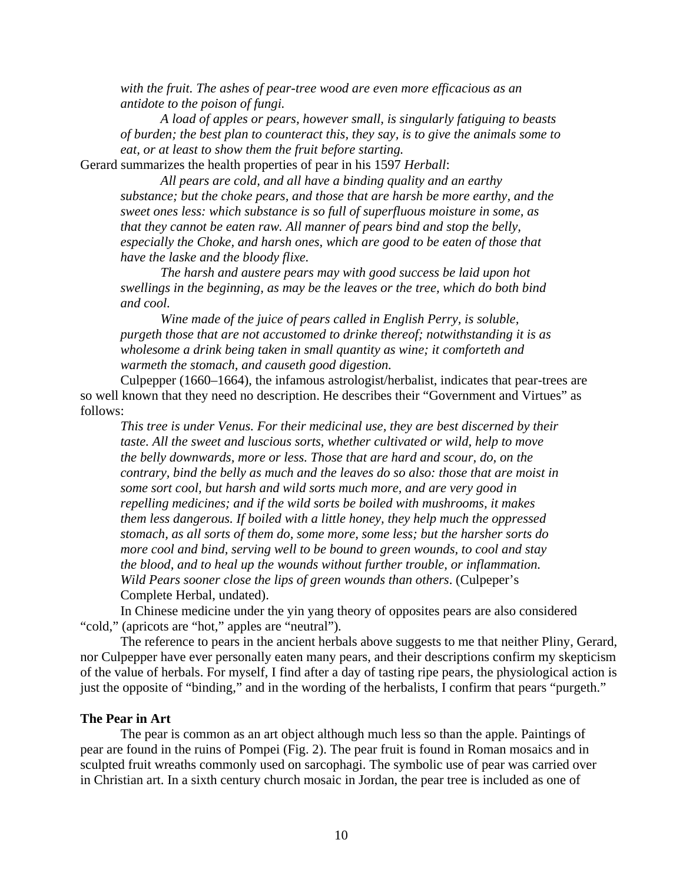*with the fruit. The ashes of pear-tree wood are even more efficacious as an antidote to the poison of fungi.* 

 *A load of apples or pears, however small, is singularly fatiguing to beasts of burden; the best plan to counteract this, they say, is to give the animals some to eat, or at least to show them the fruit before starting.* 

Gerard summarizes the health properties of pear in his 1597 *Herball*:

*All pears are cold, and all have a binding quality and an earthy substance; but the choke pears, and those that are harsh be more earthy, and the sweet ones less: which substance is so full of superfluous moisture in some, as that they cannot be eaten raw. All manner of pears bind and stop the belly, especially the Choke, and harsh ones, which are good to be eaten of those that have the laske and the bloody flixe.* 

 *The harsh and austere pears may with good success be laid upon hot swellings in the beginning, as may be the leaves or the tree, which do both bind and cool.* 

*Wine made of the juice of pears called in English Perry, is soluble, purgeth those that are not accustomed to drinke thereof; notwithstanding it is as wholesome a drink being taken in small quantity as wine; it comforteth and warmeth the stomach, and causeth good digestion.* 

Culpepper (1660–1664), the infamous astrologist/herbalist, indicates that pear-trees are so well known that they need no description. He describes their "Government and Virtues" as follows:

*This tree is under Venus. For their medicinal use, they are best discerned by their taste. All the sweet and luscious sorts, whether cultivated or wild, help to move the belly downwards, more or less. Those that are hard and scour, do, on the contrary, bind the belly as much and the leaves do so also: those that are moist in some sort cool, but harsh and wild sorts much more, and are very good in repelling medicines; and if the wild sorts be boiled with mushrooms, it makes them less dangerous. If boiled with a little honey, they help much the oppressed stomach, as all sorts of them do, some more, some less; but the harsher sorts do more cool and bind, serving well to be bound to green wounds, to cool and stay the blood, and to heal up the wounds without further trouble, or inflammation. Wild Pears sooner close the lips of green wounds than others*. (Culpeper's Complete Herbal, undated).

In Chinese medicine under the yin yang theory of opposites pears are also considered "cold," (apricots are "hot," apples are "neutral")*.* 

The reference to pears in the ancient herbals above suggests to me that neither Pliny, Gerard, nor Culpepper have ever personally eaten many pears, and their descriptions confirm my skepticism of the value of herbals. For myself, I find after a day of tasting ripe pears, the physiological action is just the opposite of "binding," and in the wording of the herbalists, I confirm that pears "purgeth."

# **The Pear in Art**

The pear is common as an art object although much less so than the apple. Paintings of pear are found in the ruins of Pompei (Fig. 2). The pear fruit is found in Roman mosaics and in sculpted fruit wreaths commonly used on sarcophagi. The symbolic use of pear was carried over in Christian art. In a sixth century church mosaic in Jordan, the pear tree is included as one of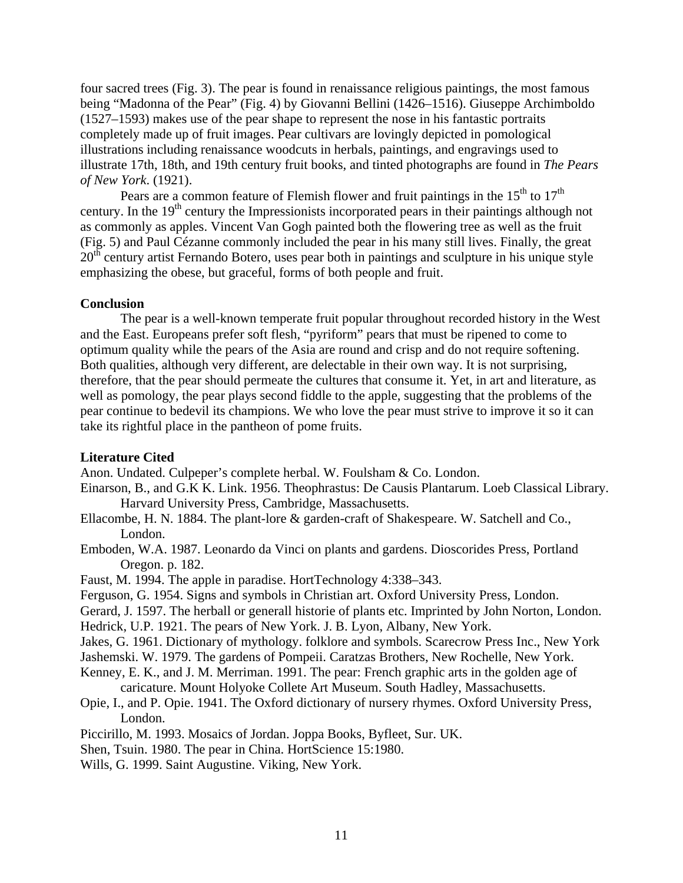four sacred trees (Fig. 3). The pear is found in renaissance religious paintings, the most famous being "Madonna of the Pear" (Fig. 4) by Giovanni Bellini (1426–1516). Giuseppe Archimboldo (1527–1593) makes use of the pear shape to represent the nose in his fantastic portraits completely made up of fruit images. Pear cultivars are lovingly depicted in pomological illustrations including renaissance woodcuts in herbals, paintings, and engravings used to illustrate 17th, 18th, and 19th century fruit books, and tinted photographs are found in *The Pears of New York*. (1921).

Pears are a common feature of Flemish flower and fruit paintings in the  $15<sup>th</sup>$  to  $17<sup>th</sup>$ century. In the  $19<sup>th</sup>$  century the Impressionists incorporated pears in their paintings although not as commonly as apples. Vincent Van Gogh painted both the flowering tree as well as the fruit (Fig. 5) and Paul Cézanne commonly included the pear in his many still lives. Finally, the great  $20<sup>th</sup>$  century artist Fernando Botero, uses pear both in paintings and sculpture in his unique style emphasizing the obese, but graceful, forms of both people and fruit.

#### **Conclusion**

The pear is a well-known temperate fruit popular throughout recorded history in the West and the East. Europeans prefer soft flesh, "pyriform" pears that must be ripened to come to optimum quality while the pears of the Asia are round and crisp and do not require softening. Both qualities, although very different, are delectable in their own way. It is not surprising, therefore, that the pear should permeate the cultures that consume it. Yet, in art and literature, as well as pomology, the pear plays second fiddle to the apple, suggesting that the problems of the pear continue to bedevil its champions. We who love the pear must strive to improve it so it can take its rightful place in the pantheon of pome fruits.

#### **Literature Cited**

Anon. Undated. Culpeper's complete herbal. W. Foulsham & Co. London.

- Einarson, B., and G.K K. Link. 1956. Theophrastus: De Causis Plantarum. Loeb Classical Library. Harvard University Press, Cambridge, Massachusetts.
- Ellacombe, H. N. 1884. The plant-lore & garden-craft of Shakespeare. W. Satchell and Co., London.
- Emboden, W.A. 1987. Leonardo da Vinci on plants and gardens. Dioscorides Press, Portland Oregon. p. 182.
- Faust, M. 1994. The apple in paradise. HortTechnology 4:338–343.
- Ferguson, G. 1954. Signs and symbols in Christian art. Oxford University Press, London.
- Gerard, J. 1597. The herball or generall historie of plants etc. Imprinted by John Norton, London.

Hedrick, U.P. 1921. The pears of New York. J. B. Lyon, Albany, New York.

Jakes, G. 1961. Dictionary of mythology. folklore and symbols. Scarecrow Press Inc., New York

Jashemski. W. 1979. The gardens of Pompeii. Caratzas Brothers, New Rochelle, New York.

- Kenney, E. K., and J. M. Merriman. 1991. The pear: French graphic arts in the golden age of caricature. Mount Holyoke Collete Art Museum. South Hadley, Massachusetts.
- Opie, I., and P. Opie. 1941. The Oxford dictionary of nursery rhymes. Oxford University Press, London.

Piccirillo, M. 1993. Mosaics of Jordan. Joppa Books, Byfleet, Sur. UK.

Shen, Tsuin. 1980. The pear in China. HortScience 15:1980.

Wills, G. 1999. Saint Augustine. Viking, New York.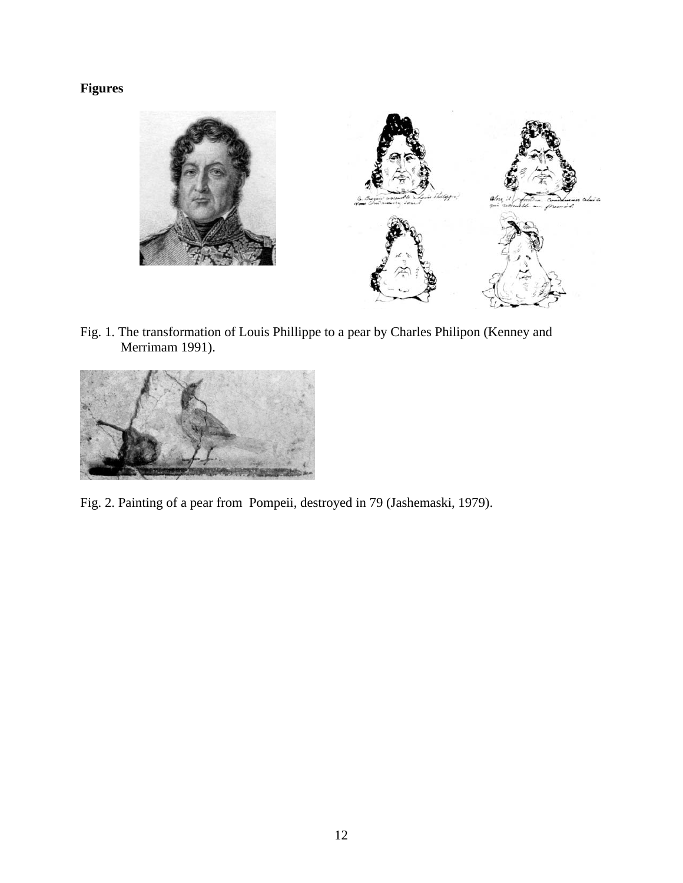# **Figures**



Fig. 1. The transformation of Louis Phillippe to a pear by Charles Philipon (Kenney and Merrimam 1991).



Fig. 2. Painting of a pear from Pompeii, destroyed in 79 (Jashemaski, 1979).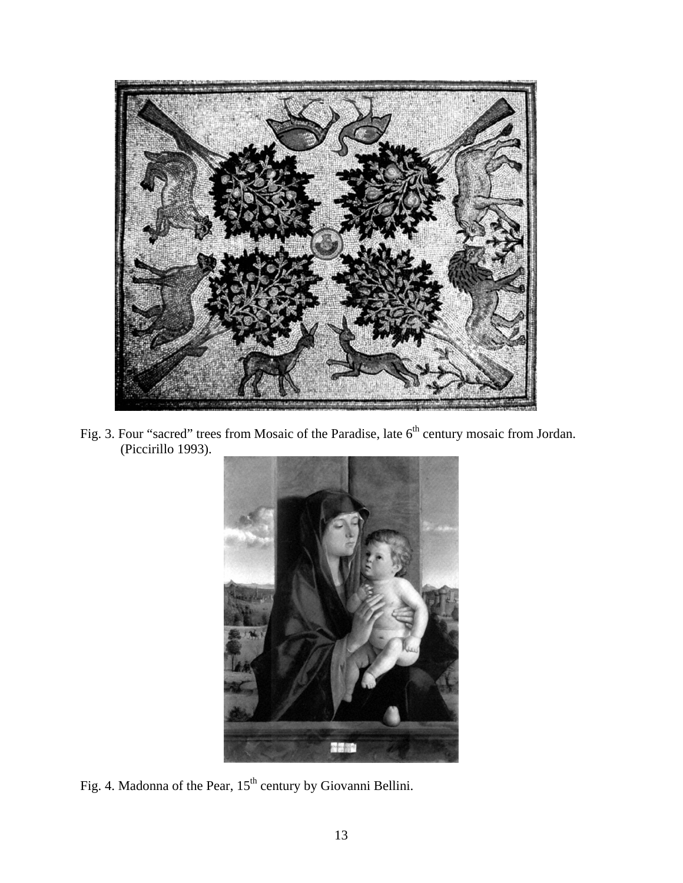

Fig. 3. Four "sacred" trees from Mosaic of the Paradise, late  $6<sup>th</sup>$  century mosaic from Jordan. (Piccirillo 1993).



Fig. 4. Madonna of the Pear,  $15<sup>th</sup>$  century by Giovanni Bellini.